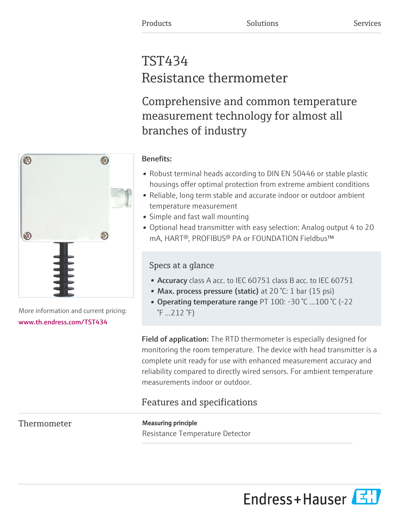# TST434 Resistance thermometer

Comprehensive and common temperature measurement technology for almost all branches of industry

# Benefits:

- Robust terminal heads according to DIN EN 50446 or stable plastic housings offer optimal protection from extreme ambient conditions
- Reliable, long term stable and accurate indoor or outdoor ambient temperature measurement
- Simple and fast wall mounting
- Optional head transmitter with easy selection: Analog output 4 to 20 mA, HART®, PROFIBUS® PA or FOUNDATION Fieldbus™

## Specs at a glance

- Accuracy class A acc. to IEC 60751 class B acc. to IEC 60751
- Max. process pressure (static) at 20 °C: 1 bar (15 psi)
- Operating temperature range PT 100: -30 °C ...100 °C (-22 °F ...212 °F)

Field of application: The RTD thermometer is especially designed for monitoring the room temperature. The device with head transmitter is a complete unit ready for use with enhanced measurement accuracy and reliability compared to directly wired sensors. For ambient temperature measurements indoor or outdoor.

## Features and specifications

Thermometer **Measuring principle** Resistance Temperature Detector





More information and current pricing: [www.th.endress.com/TST434](https://www.th.endress.com/TST434)